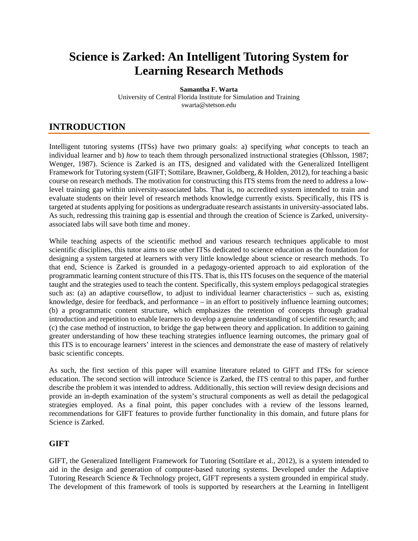# **Science is Zarked: An Intelligent Tutoring System for Learning Research Methods**

**Samantha F. Warta** University of Central Florida Institute for Simulation and Training swarta@stetson.edu

# **INTRODUCTION**

Intelligent tutoring systems (ITSs) have two primary goals: a) specifying *what* concepts to teach an individual learner and b) *how* to teach them through personalized instructional strategies (Ohlsson, 1987; Wenger, 1987). Science is Zarked is an ITS, designed and validated with the Generalized Intelligent Framework for Tutoring system (GIFT; Sottilare, Brawner, Goldberg, & Holden, 2012), for teaching a basic course on research methods. The motivation for constructing this ITS stems from the need to address a lowlevel training gap within university-associated labs. That is, no accredited system intended to train and evaluate students on their level of research methods knowledge currently exists. Specifically, this ITS is targeted at students applying for positions as undergraduate research assistants in university-associated labs. As such, redressing this training gap is essential and through the creation of Science is Zarked, universityassociated labs will save both time and money.

While teaching aspects of the scientific method and various research techniques applicable to most scientific disciplines, this tutor aims to use other ITSs dedicated to science education as the foundation for designing a system targeted at learners with very little knowledge about science or research methods. To that end, Science is Zarked is grounded in a pedagogy-oriented approach to aid exploration of the programmatic learning content structure of this ITS. That is, this ITS focuses on the sequence of the material taught and the strategies used to teach the content. Specifically, this system employs pedagogical strategies such as: (a) an adaptive courseflow, to adjust to individual learner characteristics – such as, existing knowledge, desire for feedback, and performance – in an effort to positively influence learning outcomes; (b) a programmatic content structure, which emphasizes the retention of concepts through gradual introduction and repetition to enable learners to develop a genuine understanding of scientific research; and (c) the case method of instruction, to bridge the gap between theory and application. In addition to gaining greater understanding of how these teaching strategies influence learning outcomes, the primary goal of this ITS is to encourage learners' interest in the sciences and demonstrate the ease of mastery of relatively basic scientific concepts.

As such, the first section of this paper will examine literature related to GIFT and ITSs for science education. The second section will introduce Science is Zarked, the ITS central to this paper, and further describe the problem it was intended to address. Additionally, this section will review design decisions and provide an in-depth examination of the system's structural components as well as detail the pedagogical strategies employed. As a final point, this paper concludes with a review of the lessons learned, recommendations for GIFT features to provide further functionality in this domain, and future plans for Science is Zarked.

### **GIFT**

GIFT, the Generalized Intelligent Framework for Tutoring (Sottilare et al., 2012), is a system intended to aid in the design and generation of computer-based tutoring systems. Developed under the Adaptive Tutoring Research Science & Technology project, GIFT represents a system grounded in empirical study. The development of this framework of tools is supported by researchers at the Learning in Intelligent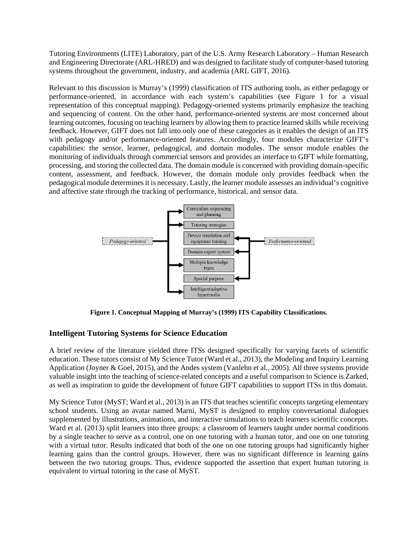Tutoring Environments (LITE) Laboratory, part of the U.S. Army Research Laboratory – Human Research and Engineering Directorate (ARL-HRED) and was designed to facilitate study of computer-based tutoring systems throughout the government, industry, and academia (ARL GIFT, 2016).

Relevant to this discussion is Murray's (1999) classification of ITS authoring tools, as either pedagogy or performance-oriented, in accordance with each system's capabilities (see Figure 1 for a visual representation of this conceptual mapping). Pedagogy-oriented systems primarily emphasize the teaching and sequencing of content. On the other hand, performance-oriented systems are most concerned about learning outcomes, focusing on teaching learners by allowing them to practice learned skills while receiving feedback. However, GIFT does not fall into only one of these categories as it enables the design of an ITS with pedagogy and/or performance-oriented features. Accordingly, four modules characterize GIFT's capabilities: the sensor, learner, pedagogical, and domain modules. The sensor module enables the monitoring of individuals through commercial sensors and provides an interface to GIFT while formatting, processing, and storing the collected data. The domain module is concerned with providing domain-specific content, assessment, and feedback. However, the domain module only provides feedback when the pedagogical module determines it is necessary. Lastly, the learner module assesses an individual's cognitive and affective state through the tracking of performance, historical, and sensor data.



**Figure 1. Conceptual Mapping of Murray's (1999) ITS Capability Classifications.**

### **Intelligent Tutoring Systems for Science Education**

A brief review of the literature yielded three ITSs designed specifically for varying facets of scientific education. These tutors consist of My Science Tutor (Ward et al., 2013), the Modeling and Inquiry Learning Application (Joyner & Goel, 2015), and the Andes system (Vanlehn et al., 2005). All three systems provide valuable insight into the teaching of science-related concepts and a useful comparison to Science is Zarked, as well as inspiration to guide the development of future GIFT capabilities to support ITSs in this domain.

My Science Tutor (MyST; Ward et al., 2013) is an ITS that teaches scientific concepts targeting elementary school students. Using an avatar named Marni, MyST is designed to employ conversational dialogues supplemented by illustrations, animations, and interactive simulations to teach learners scientific concepts. Ward et al. (2013) split learners into three groups: a classroom of learners taught under normal conditions by a single teacher to serve as a control, one on one tutoring with a human tutor, and one on one tutoring with a virtual tutor. Results indicated that both of the one on one tutoring groups had significantly higher learning gains than the control groups. However, there was no significant difference in learning gains between the two tutoring groups. Thus, evidence supported the assertion that expert human tutoring is equivalent to virtual tutoring in the case of MyST.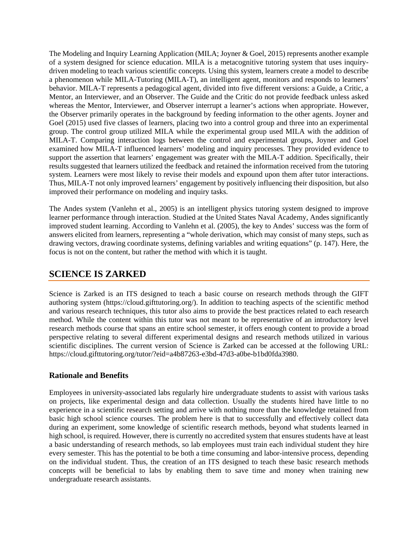The Modeling and Inquiry Learning Application (MILA; Joyner & Goel, 2015) represents another example of a system designed for science education. MILA is a metacognitive tutoring system that uses inquirydriven modeling to teach various scientific concepts. Using this system, learners create a model to describe a phenomenon while MILA-Tutoring (MILA-T), an intelligent agent, monitors and responds to learners' behavior. MILA-T represents a pedagogical agent, divided into five different versions: a Guide, a Critic, a Mentor, an Interviewer, and an Observer. The Guide and the Critic do not provide feedback unless asked whereas the Mentor, Interviewer, and Observer interrupt a learner's actions when appropriate. However, the Observer primarily operates in the background by feeding information to the other agents. Joyner and Goel (2015) used five classes of learners, placing two into a control group and three into an experimental group. The control group utilized MILA while the experimental group used MILA with the addition of MILA-T. Comparing interaction logs between the control and experimental groups, Joyner and Goel examined how MILA-T influenced learners' modeling and inquiry processes. They provided evidence to support the assertion that learners' engagement was greater with the MILA-T addition. Specifically, their results suggested that learners utilized the feedback and retained the information received from the tutoring system. Learners were most likely to revise their models and expound upon them after tutor interactions. Thus, MILA-T not only improved learners' engagement by positively influencing their disposition, but also improved their performance on modeling and inquiry tasks.

The Andes system (Vanlehn et al., 2005) is an intelligent physics tutoring system designed to improve learner performance through interaction. Studied at the United States Naval Academy, Andes significantly improved student learning. According to Vanlehn et al. (2005), the key to Andes' success was the form of answers elicited from learners, representing a "whole derivation, which may consist of many steps, such as drawing vectors, drawing coordinate systems, defining variables and writing equations" (p. 147). Here, the focus is not on the content, but rather the method with which it is taught.

## **SCIENCE IS ZARKED**

Science is Zarked is an ITS designed to teach a basic course on research methods through the GIFT authoring system (https://cloud.gifttutoring.org/). In addition to teaching aspects of the scientific method and various research techniques, this tutor also aims to provide the best practices related to each research method. While the content within this tutor was not meant to be representative of an introductory level research methods course that spans an entire school semester, it offers enough content to provide a broad perspective relating to several different experimental designs and research methods utilized in various scientific disciplines. The current version of Science is Zarked can be accessed at the following URL: https://cloud.gifttutoring.org/tutor/?eid=a4b87263-e3bd-47d3-a0be-b1bd0fda3980.

### **Rationale and Benefits**

Employees in university-associated labs regularly hire undergraduate students to assist with various tasks on projects, like experimental design and data collection. Usually the students hired have little to no experience in a scientific research setting and arrive with nothing more than the knowledge retained from basic high school science courses. The problem here is that to successfully and effectively collect data during an experiment, some knowledge of scientific research methods, beyond what students learned in high school, is required. However, there is currently no accredited system that ensures students have at least a basic understanding of research methods, so lab employees must train each individual student they hire every semester. This has the potential to be both a time consuming and labor-intensive process, depending on the individual student. Thus, the creation of an ITS designed to teach these basic research methods concepts will be beneficial to labs by enabling them to save time and money when training new undergraduate research assistants.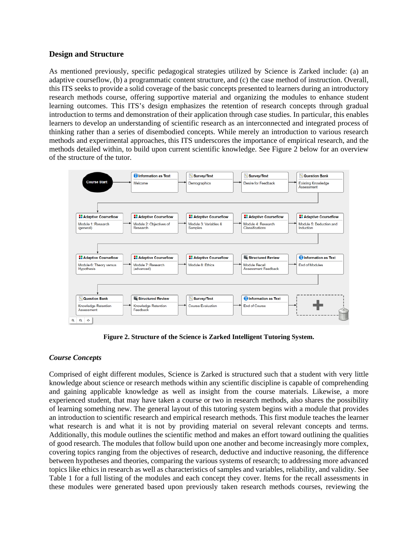#### **Design and Structure**

As mentioned previously, specific pedagogical strategies utilized by Science is Zarked include: (a) an adaptive courseflow, (b) a programmatic content structure, and (c) the case method of instruction. Overall, this ITS seeks to provide a solid coverage of the basic concepts presented to learners during an introductory research methods course, offering supportive material and organizing the modules to enhance student learning outcomes. This ITS's design emphasizes the retention of research concepts through gradual introduction to terms and demonstration of their application through case studies. In particular, this enables learners to develop an understanding of scientific research as an interconnected and integrated process of thinking rather than a series of disembodied concepts. While merely an introduction to various research methods and experimental approaches, this ITS underscores the importance of empirical research, and the methods detailed within, to build upon current scientific knowledge. See Figure 2 below for an overview of the structure of the tutor.



**Figure 2. Structure of the Science is Zarked Intelligent Tutoring System.**

#### *Course Concepts*

Comprised of eight different modules, Science is Zarked is structured such that a student with very little knowledge about science or research methods within any scientific discipline is capable of comprehending and gaining applicable knowledge as well as insight from the course materials. Likewise, a more experienced student, that may have taken a course or two in research methods, also shares the possibility of learning something new. The general layout of this tutoring system begins with a module that provides an introduction to scientific research and empirical research methods. This first module teaches the learner what research is and what it is not by providing material on several relevant concepts and terms. Additionally, this module outlines the scientific method and makes an effort toward outlining the qualities of good research. The modules that follow build upon one another and become increasingly more complex, covering topics ranging from the objectives of research, deductive and inductive reasoning, the difference between hypotheses and theories, comparing the various systems of research; to addressing more advanced topics like ethics in research as well as characteristics of samples and variables, reliability, and validity. See Table 1 for a full listing of the modules and each concept they cover. Items for the recall assessments in these modules were generated based upon previously taken research methods courses, reviewing the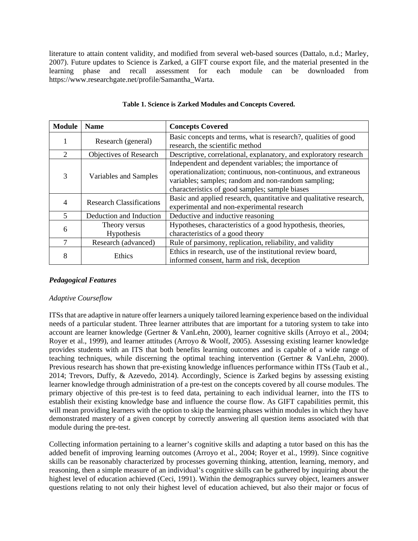literature to attain content validity, and modified from several web-based sources (Dattalo, n.d.; Marley, 2007). Future updates to Science is Zarked, a GIFT course export file, and the material presented in the learning phase and recall assessment for each module can be downloaded from https://www.researchgate.net/profile/Samantha\_Warta.

| <b>Module</b> | <b>Name</b>                     | <b>Concepts Covered</b>                                                                                                                                                                                                           |
|---------------|---------------------------------|-----------------------------------------------------------------------------------------------------------------------------------------------------------------------------------------------------------------------------------|
|               | Research (general)              | Basic concepts and terms, what is research?, qualities of good<br>research, the scientific method                                                                                                                                 |
| $\mathcal{D}$ | Objectives of Research          | Descriptive, correlational, explanatory, and exploratory research                                                                                                                                                                 |
| 3             | Variables and Samples           | Independent and dependent variables; the importance of<br>operationalization; continuous, non-continuous, and extraneous<br>variables; samples; random and non-random sampling;<br>characteristics of good samples; sample biases |
| 4             | <b>Research Classifications</b> | Basic and applied research, quantitative and qualitative research,<br>experimental and non-experimental research                                                                                                                  |
| $\mathcal{F}$ | Deduction and Induction         | Deductive and inductive reasoning                                                                                                                                                                                                 |
| 6             | Theory versus<br>Hypothesis     | Hypotheses, characteristics of a good hypothesis, theories,<br>characteristics of a good theory                                                                                                                                   |
|               | Research (advanced)             | Rule of parsimony, replication, reliability, and validity                                                                                                                                                                         |
| 8             | Ethics                          | Ethics in research, use of the institutional review board,<br>informed consent, harm and risk, deception                                                                                                                          |

#### **Table 1. Science is Zarked Modules and Concepts Covered.**

### *Pedagogical Features*

#### *Adaptive Courseflow*

ITSs that are adaptive in nature offer learners a uniquely tailored learning experience based on the individual needs of a particular student. Three learner attributes that are important for a tutoring system to take into account are learner knowledge (Gertner & VanLehn, 2000), learner cognitive skills (Arroyo et al., 2004; Royer et al., 1999), and learner attitudes (Arroyo & Woolf, 2005). Assessing existing learner knowledge provides students with an ITS that both benefits learning outcomes and is capable of a wide range of teaching techniques, while discerning the optimal teaching intervention (Gertner & VanLehn, 2000). Previous research has shown that pre-existing knowledge influences performance within ITSs (Taub et al., 2014; Trevors, Duffy, & Azevedo, 2014). Accordingly, Science is Zarked begins by assessing existing learner knowledge through administration of a pre-test on the concepts covered by all course modules. The primary objective of this pre-test is to feed data, pertaining to each individual learner, into the ITS to establish their existing knowledge base and influence the course flow. As GIFT capabilities permit, this will mean providing learners with the option to skip the learning phases within modules in which they have demonstrated mastery of a given concept by correctly answering all question items associated with that module during the pre-test.

Collecting information pertaining to a learner's cognitive skills and adapting a tutor based on this has the added benefit of improving learning outcomes (Arroyo et al., 2004; Royer et al., 1999). Since cognitive skills can be reasonably characterized by processes governing thinking, attention, learning, memory, and reasoning, then a simple measure of an individual's cognitive skills can be gathered by inquiring about the highest level of education achieved (Ceci, 1991). Within the demographics survey object, learners answer questions relating to not only their highest level of education achieved, but also their major or focus of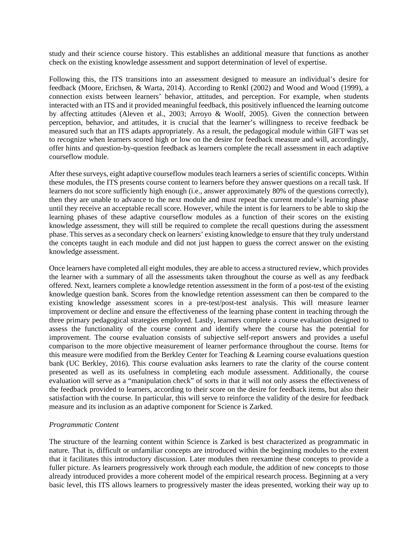study and their science course history. This establishes an additional measure that functions as another check on the existing knowledge assessment and support determination of level of expertise.

Following this, the ITS transitions into an assessment designed to measure an individual's desire for feedback (Moore, Erichsen, & Warta, 2014). According to Renkl (2002) and Wood and Wood (1999), a connection exists between learners' behavior, attitudes, and perception. For example, when students interacted with an ITS and it provided meaningful feedback, this positively influenced the learning outcome by affecting attitudes (Aleven et al., 2003; Arroyo & Woolf, 2005). Given the connection between perception, behavior, and attitudes, it is crucial that the learner's willingness to receive feedback be measured such that an ITS adapts appropriately. As a result, the pedagogical module within GIFT was set to recognize when learners scored high or low on the desire for feedback measure and will, accordingly, offer hints and question-by-question feedback as learners complete the recall assessment in each adaptive courseflow module.

After these surveys, eight adaptive courseflow modules teach learners a series of scientific concepts. Within these modules, the ITS presents course content to learners before they answer questions on a recall task. If learners do not score sufficiently high enough (i.e., answer approximately 80% of the questions correctly), then they are unable to advance to the next module and must repeat the current module's learning phase until they receive an acceptable recall score. However, while the intent is for learners to be able to skip the learning phases of these adaptive courseflow modules as a function of their scores on the existing knowledge assessment, they will still be required to complete the recall questions during the assessment phase. This serves as a secondary check on learners' existing knowledge to ensure that they truly understand the concepts taught in each module and did not just happen to guess the correct answer on the existing knowledge assessment.

Once learners have completed all eight modules, they are able to access a structured review, which provides the learner with a summary of all the assessments taken throughout the course as well as any feedback offered. Next, learners complete a knowledge retention assessment in the form of a post-test of the existing knowledge question bank. Scores from the knowledge retention assessment can then be compared to the existing knowledge assessment scores in a pre-test/post-test analysis. This will measure learner improvement or decline and ensure the effectiveness of the learning phase content in teaching through the three primary pedagogical strategies employed. Lastly, learners complete a course evaluation designed to assess the functionality of the course content and identify where the course has the potential for improvement. The course evaluation consists of subjective self-report answers and provides a useful comparison to the more objective measurement of learner performance throughout the course. Items for this measure were modified from the Berkley Center for Teaching & Learning course evaluations question bank (UC Berkley, 2016). This course evaluation asks learners to rate the clarity of the course content presented as well as its usefulness in completing each module assessment. Additionally, the course evaluation will serve as a "manipulation check" of sorts in that it will not only assess the effectiveness of the feedback provided to learners, according to their score on the desire for feedback items, but also their satisfaction with the course. In particular, this will serve to reinforce the validity of the desire for feedback measure and its inclusion as an adaptive component for Science is Zarked.

#### *Programmatic Content*

The structure of the learning content within Science is Zarked is best characterized as programmatic in nature. That is, difficult or unfamiliar concepts are introduced within the beginning modules to the extent that it facilitates this introductory discussion. Later modules then reexamine these concepts to provide a fuller picture. As learners progressively work through each module, the addition of new concepts to those already introduced provides a more coherent model of the empirical research process. Beginning at a very basic level, this ITS allows learners to progressively master the ideas presented, working their way up to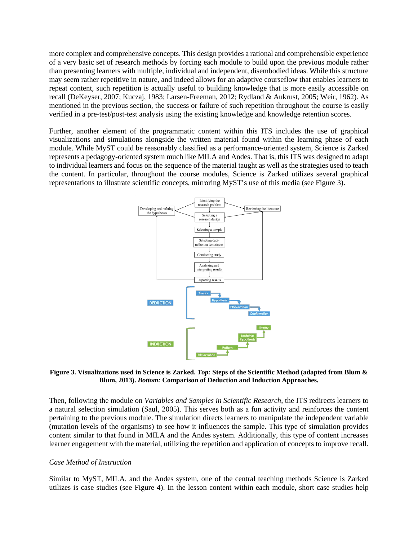more complex and comprehensive concepts. This design provides a rational and comprehensible experience of a very basic set of research methods by forcing each module to build upon the previous module rather than presenting learners with multiple, individual and independent, disembodied ideas. While this structure may seem rather repetitive in nature, and indeed allows for an adaptive courseflow that enables learners to repeat content, such repetition is actually useful to building knowledge that is more easily accessible on recall (DeKeyser, 2007; Kuczaj, 1983; Larsen-Freeman, 2012; Rydland & Aukrust, 2005; Weir, 1962). As mentioned in the previous section, the success or failure of such repetition throughout the course is easily verified in a pre-test/post-test analysis using the existing knowledge and knowledge retention scores.

Further, another element of the programmatic content within this ITS includes the use of graphical visualizations and simulations alongside the written material found within the learning phase of each module. While MyST could be reasonably classified as a performance-oriented system, Science is Zarked represents a pedagogy-oriented system much like MILA and Andes. That is, this ITS was designed to adapt to individual learners and focus on the sequence of the material taught as well as the strategies used to teach the content. In particular, throughout the course modules, Science is Zarked utilizes several graphical representations to illustrate scientific concepts, mirroring MyST's use of this media (see Figure 3).



#### **Figure 3. Visualizations used in Science is Zarked.** *Top:* **Steps of the Scientific Method (adapted from Blum & Blum, 2013).** *Bottom:* **Comparison of Deduction and Induction Approaches.**

Then, following the module on *Variables and Samples in Scientific Research*, the ITS redirects learners to a natural selection simulation (Saul, 2005). This serves both as a fun activity and reinforces the content pertaining to the previous module. The simulation directs learners to manipulate the independent variable (mutation levels of the organisms) to see how it influences the sample. This type of simulation provides content similar to that found in MILA and the Andes system. Additionally, this type of content increases learner engagement with the material, utilizing the repetition and application of concepts to improve recall.

#### *Case Method of Instruction*

Similar to MyST, MILA, and the Andes system, one of the central teaching methods Science is Zarked utilizes is case studies (see Figure 4). In the lesson content within each module, short case studies help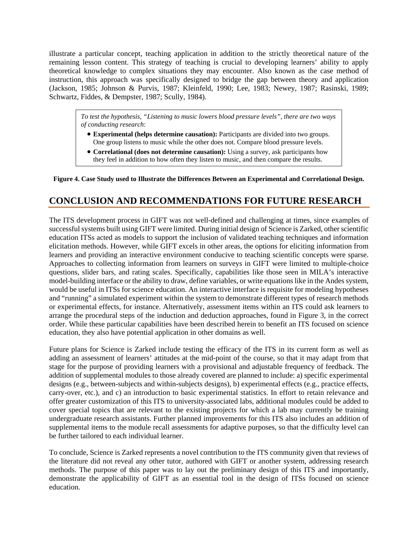illustrate a particular concept, teaching application in addition to the strictly theoretical nature of the remaining lesson content. This strategy of teaching is crucial to developing learners' ability to apply theoretical knowledge to complex situations they may encounter. Also known as the case method of instruction, this approach was specifically designed to bridge the gap between theory and application (Jackson, 1985; Johnson & Purvis, 1987; Kleinfeld, 1990; Lee, 1983; Newey, 1987; Rasinski, 1989; Schwartz, Fiddes, & Dempster, 1987; Scully, 1984).

*To test the hypothesis, "Listening to music lowers blood pressure levels", there are two ways of conducting research*:

- **Experimental (helps determine causation):** Participants are divided into two groups. One group listens to music while the other does not. Compare blood pressure levels.
- **Correlational (does not determine causation):** Using a survey, ask participants how they feel in addition to how often they listen to music, and then compare the results.

#### **Figure 4. Case Study used to Illustrate the Differences Between an Experimental and Correlational Design.**

# **CONCLUSION AND RECOMMENDATIONS FOR FUTURE RESEARCH**

The ITS development process in GIFT was not well-defined and challenging at times, since examples of successful systems built using GIFT were limited. During initial design of Science is Zarked, other scientific education ITSs acted as models to support the inclusion of validated teaching techniques and information elicitation methods. However, while GIFT excels in other areas, the options for eliciting information from learners and providing an interactive environment conducive to teaching scientific concepts were sparse. Approaches to collecting information from learners on surveys in GIFT were limited to multiple-choice questions, slider bars, and rating scales. Specifically, capabilities like those seen in MILA's interactive model-building interface or the ability to draw, define variables, or write equations like in the Andes system, would be useful in ITSs for science education. An interactive interface is requisite for modeling hypotheses and "running" a simulated experiment within the system to demonstrate different types of research methods or experimental effects, for instance. Alternatively, assessment items within an ITS could ask learners to arrange the procedural steps of the induction and deduction approaches, found in Figure 3, in the correct order. While these particular capabilities have been described herein to benefit an ITS focused on science education, they also have potential application in other domains as well.

Future plans for Science is Zarked include testing the efficacy of the ITS in its current form as well as adding an assessment of learners' attitudes at the mid-point of the course, so that it may adapt from that stage for the purpose of providing learners with a provisional and adjustable frequency of feedback. The addition of supplemental modules to those already covered are planned to include: a) specific experimental designs (e.g., between-subjects and within-subjects designs), b) experimental effects (e.g., practice effects, carry-over, etc.), and c) an introduction to basic experimental statistics. In effort to retain relevance and offer greater customization of this ITS to university-associated labs, additional modules could be added to cover special topics that are relevant to the existing projects for which a lab may currently be training undergraduate research assistants. Further planned improvements for this ITS also includes an addition of supplemental items to the module recall assessments for adaptive purposes, so that the difficulty level can be further tailored to each individual learner.

To conclude, Science is Zarked represents a novel contribution to the ITS community given that reviews of the literature did not reveal any other tutor, authored with GIFT or another system, addressing research methods. The purpose of this paper was to lay out the preliminary design of this ITS and importantly, demonstrate the applicability of GIFT as an essential tool in the design of ITSs focused on science education.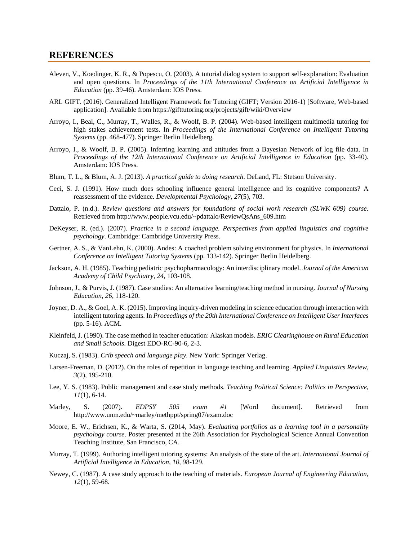#### **REFERENCES**

- Aleven, V., Koedinger, K. R., & Popescu, O. (2003). A tutorial dialog system to support self-explanation: Evaluation and open questions. In *Proceedings of the 11th International Conference on Artificial Intelligence in Education* (pp. 39-46). Amsterdam: IOS Press.
- ARL GIFT. (2016). Generalized Intelligent Framework for Tutoring (GIFT; Version 2016-1) [Software, Web-based application]. Available from https://gifttutoring.org/projects/gift/wiki/Overview
- Arroyo, I., Beal, C., Murray, T., Walles, R., & Woolf, B. P. (2004). Web-based intelligent multimedia tutoring for high stakes achievement tests. In *Proceedings of the International Conference on Intelligent Tutoring Systems* (pp. 468-477). Springer Berlin Heidelberg.
- Arroyo, I., & Woolf, B. P. (2005). Inferring learning and attitudes from a Bayesian Network of log file data. In *Proceedings of the 12th International Conference on Artificial Intelligence in Education* (pp. 33-40). Amsterdam: IOS Press.
- Blum, T. L., & Blum, A. J. (2013). *A practical guide to doing research*. DeLand, FL: Stetson University.
- Ceci, S. J. (1991). How much does schooling influence general intelligence and its cognitive components? A reassessment of the evidence. *Developmental Psychology, 27*(5), 703.
- Dattalo, P. (n.d.). *Review questions and answers for foundations of social work research (SLWK 609) course*. Retrieved from http://www.people.vcu.edu/~pdattalo/ReviewQsAns\_609.htm
- DeKeyser, R. (ed.). (2007). *Practice in a second language. Perspectives from applied linguistics and cognitive psychology*. Cambridge: Cambridge University Press.
- Gertner, A. S., & VanLehn, K. (2000). Andes: A coached problem solving environment for physics. In *International Conference on Intelligent Tutoring Systems* (pp. 133-142). Springer Berlin Heidelberg.
- Jackson, A. H. (1985). Teaching pediatric psychopharmacology: An interdisciplinary model. *Journal of the American Academy of Child Psychiatry, 24*, 103-108.
- Johnson, J., & Purvis, J. (1987). Case studies: An alternative learning/teaching method in nursing. *Journal of Nursing Education, 26*, 118-120.
- Joyner, D. A., & Goel, A. K. (2015). Improving inquiry-driven modeling in science education through interaction with intelligent tutoring agents. In *Proceedings of the 20th International Conference on Intelligent User Interfaces* (pp. 5-16). ACM.
- Kleinfeld, J. (1990). The case method in teacher education: Alaskan models. *ERIC Clearinghouse on Rural Education and Small Schools*. Digest EDO-RC-90-6, 2-3.
- Kuczaj, S. (1983). *Crib speech and language play*. New York: Springer Verlag.
- Larsen-Freeman, D. (2012). On the roles of repetition in language teaching and learning. *Applied Linguistics Review, 3*(2), 195-210.
- Lee, Y. S. (1983). Public management and case study methods. *Teaching Political Science: Politics in Perspective, 11*(1), 6-14.
- Marley, S. (2007). *EDPSY 505 exam #1* [Word document]. Retrieved from http://www.unm.edu/~marley/methppt/spring07/exam.doc
- Moore, E. W., Erichsen, K., & Warta, S. (2014, May). *Evaluating portfolios as a learning tool in a personality psychology course*. Poster presented at the 26th Association for Psychological Science Annual Convention Teaching Institute, San Francisco, CA.
- Murray, T. (1999). Authoring intelligent tutoring systems: An analysis of the state of the art. *International Journal of Artificial Intelligence in Education, 10*, 98-129.
- Newey, C. (1987). A case study approach to the teaching of materials. *European Journal of Engineering Education, 12*(1), 59-68.